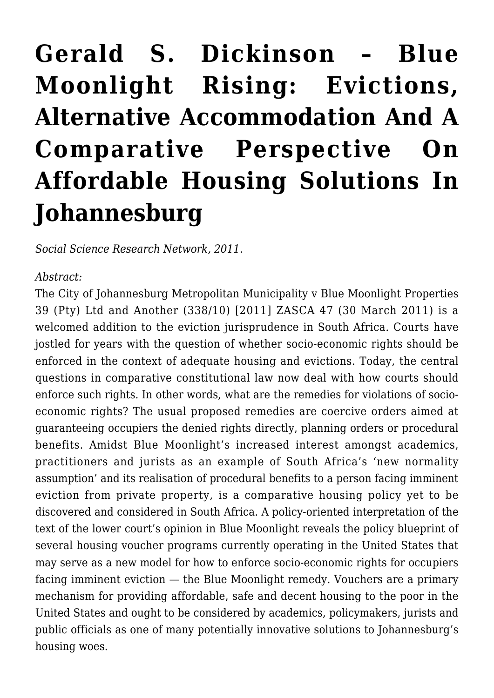## **[Gerald S. Dickinson – Blue](https://rozenbergquarterly.com/gerald-s-dickinson-blue-moonlight-rising-evictions-alternative-accommodation-and-a-comparative-perspective-on-affordable-housing-solutions-in-johannesburg/) [Moonlight Rising: Evictions,](https://rozenbergquarterly.com/gerald-s-dickinson-blue-moonlight-rising-evictions-alternative-accommodation-and-a-comparative-perspective-on-affordable-housing-solutions-in-johannesburg/) [Alternative Accommodation And A](https://rozenbergquarterly.com/gerald-s-dickinson-blue-moonlight-rising-evictions-alternative-accommodation-and-a-comparative-perspective-on-affordable-housing-solutions-in-johannesburg/) [Comparative Perspective On](https://rozenbergquarterly.com/gerald-s-dickinson-blue-moonlight-rising-evictions-alternative-accommodation-and-a-comparative-perspective-on-affordable-housing-solutions-in-johannesburg/) [Affordable Housing Solutions In](https://rozenbergquarterly.com/gerald-s-dickinson-blue-moonlight-rising-evictions-alternative-accommodation-and-a-comparative-perspective-on-affordable-housing-solutions-in-johannesburg/) [Johannesburg](https://rozenbergquarterly.com/gerald-s-dickinson-blue-moonlight-rising-evictions-alternative-accommodation-and-a-comparative-perspective-on-affordable-housing-solutions-in-johannesburg/)**

*Social Science Research Network, 2011.*

## *Abstract:*

The City of Johannesburg Metropolitan Municipality v Blue Moonlight Properties 39 (Pty) Ltd and Another (338/10) [2011] ZASCA 47 (30 March 2011) is a welcomed addition to the eviction jurisprudence in South Africa. Courts have jostled for years with the question of whether socio-economic rights should be enforced in the context of adequate housing and evictions. Today, the central questions in comparative constitutional law now deal with how courts should enforce such rights. In other words, what are the remedies for violations of socioeconomic rights? The usual proposed remedies are coercive orders aimed at guaranteeing occupiers the denied rights directly, planning orders or procedural benefits. Amidst Blue Moonlight's increased interest amongst academics, practitioners and jurists as an example of South Africa's 'new normality assumption' and its realisation of procedural benefits to a person facing imminent eviction from private property, is a comparative housing policy yet to be discovered and considered in South Africa. A policy-oriented interpretation of the text of the lower court's opinion in Blue Moonlight reveals the policy blueprint of several housing voucher programs currently operating in the United States that may serve as a new model for how to enforce socio-economic rights for occupiers facing imminent eviction — the Blue Moonlight remedy. Vouchers are a primary mechanism for providing affordable, safe and decent housing to the poor in the United States and ought to be considered by academics, policymakers, jurists and public officials as one of many potentially innovative solutions to Johannesburg's housing woes.